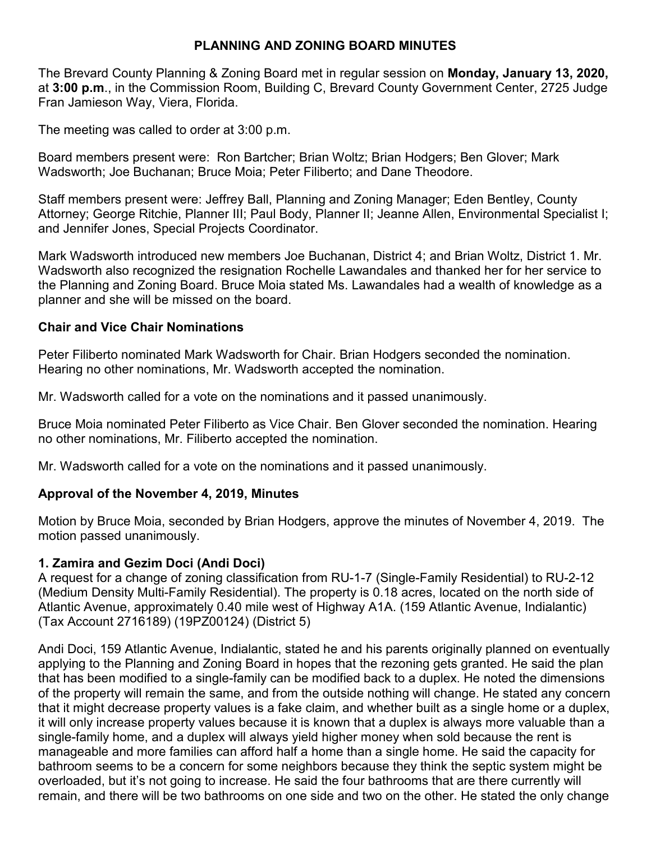# **PLANNING AND ZONING BOARD MINUTES**

The Brevard County Planning & Zoning Board met in regular session on **Monday, January 13, 2020,** at **3:00 p.m**., in the Commission Room, Building C, Brevard County Government Center, 2725 Judge Fran Jamieson Way, Viera, Florida.

The meeting was called to order at 3:00 p.m.

Board members present were: Ron Bartcher; Brian Woltz; Brian Hodgers; Ben Glover; Mark Wadsworth; Joe Buchanan; Bruce Moia; Peter Filiberto; and Dane Theodore.

Staff members present were: Jeffrey Ball, Planning and Zoning Manager; Eden Bentley, County Attorney; George Ritchie, Planner III; Paul Body, Planner II; Jeanne Allen, Environmental Specialist I; and Jennifer Jones, Special Projects Coordinator.

Mark Wadsworth introduced new members Joe Buchanan, District 4; and Brian Woltz, District 1. Mr. Wadsworth also recognized the resignation Rochelle Lawandales and thanked her for her service to the Planning and Zoning Board. Bruce Moia stated Ms. Lawandales had a wealth of knowledge as a planner and she will be missed on the board.

#### **Chair and Vice Chair Nominations**

Peter Filiberto nominated Mark Wadsworth for Chair. Brian Hodgers seconded the nomination. Hearing no other nominations, Mr. Wadsworth accepted the nomination.

Mr. Wadsworth called for a vote on the nominations and it passed unanimously.

Bruce Moia nominated Peter Filiberto as Vice Chair. Ben Glover seconded the nomination. Hearing no other nominations, Mr. Filiberto accepted the nomination.

Mr. Wadsworth called for a vote on the nominations and it passed unanimously.

#### **Approval of the November 4, 2019, Minutes**

Motion by Bruce Moia, seconded by Brian Hodgers, approve the minutes of November 4, 2019. The motion passed unanimously.

#### **1. Zamira and Gezim Doci (Andi Doci)**

A request for a change of zoning classification from RU-1-7 (Single-Family Residential) to RU-2-12 (Medium Density Multi-Family Residential). The property is 0.18 acres, located on the north side of Atlantic Avenue, approximately 0.40 mile west of Highway A1A. (159 Atlantic Avenue, Indialantic) (Tax Account 2716189) (19PZ00124) (District 5)

Andi Doci, 159 Atlantic Avenue, Indialantic, stated he and his parents originally planned on eventually applying to the Planning and Zoning Board in hopes that the rezoning gets granted. He said the plan that has been modified to a single-family can be modified back to a duplex. He noted the dimensions of the property will remain the same, and from the outside nothing will change. He stated any concern that it might decrease property values is a fake claim, and whether built as a single home or a duplex, it will only increase property values because it is known that a duplex is always more valuable than a single-family home, and a duplex will always yield higher money when sold because the rent is manageable and more families can afford half a home than a single home. He said the capacity for bathroom seems to be a concern for some neighbors because they think the septic system might be overloaded, but it's not going to increase. He said the four bathrooms that are there currently will remain, and there will be two bathrooms on one side and two on the other. He stated the only change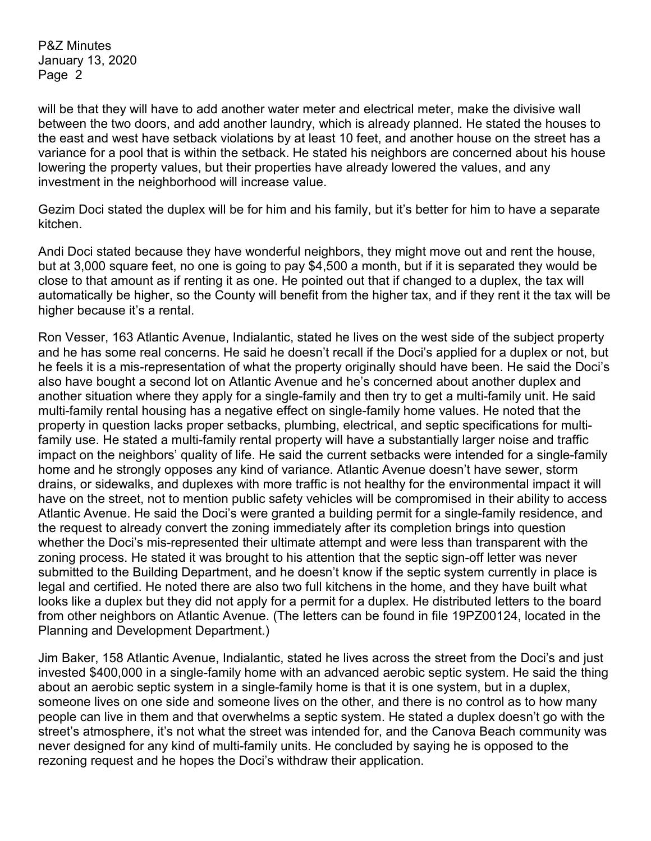will be that they will have to add another water meter and electrical meter, make the divisive wall between the two doors, and add another laundry, which is already planned. He stated the houses to the east and west have setback violations by at least 10 feet, and another house on the street has a variance for a pool that is within the setback. He stated his neighbors are concerned about his house lowering the property values, but their properties have already lowered the values, and any investment in the neighborhood will increase value.

Gezim Doci stated the duplex will be for him and his family, but it's better for him to have a separate kitchen.

Andi Doci stated because they have wonderful neighbors, they might move out and rent the house, but at 3,000 square feet, no one is going to pay \$4,500 a month, but if it is separated they would be close to that amount as if renting it as one. He pointed out that if changed to a duplex, the tax will automatically be higher, so the County will benefit from the higher tax, and if they rent it the tax will be higher because it's a rental.

Ron Vesser, 163 Atlantic Avenue, Indialantic, stated he lives on the west side of the subject property and he has some real concerns. He said he doesn't recall if the Doci's applied for a duplex or not, but he feels it is a mis-representation of what the property originally should have been. He said the Doci's also have bought a second lot on Atlantic Avenue and he's concerned about another duplex and another situation where they apply for a single-family and then try to get a multi-family unit. He said multi-family rental housing has a negative effect on single-family home values. He noted that the property in question lacks proper setbacks, plumbing, electrical, and septic specifications for multifamily use. He stated a multi-family rental property will have a substantially larger noise and traffic impact on the neighbors' quality of life. He said the current setbacks were intended for a single-family home and he strongly opposes any kind of variance. Atlantic Avenue doesn't have sewer, storm drains, or sidewalks, and duplexes with more traffic is not healthy for the environmental impact it will have on the street, not to mention public safety vehicles will be compromised in their ability to access Atlantic Avenue. He said the Doci's were granted a building permit for a single-family residence, and the request to already convert the zoning immediately after its completion brings into question whether the Doci's mis-represented their ultimate attempt and were less than transparent with the zoning process. He stated it was brought to his attention that the septic sign-off letter was never submitted to the Building Department, and he doesn't know if the septic system currently in place is legal and certified. He noted there are also two full kitchens in the home, and they have built what looks like a duplex but they did not apply for a permit for a duplex. He distributed letters to the board from other neighbors on Atlantic Avenue. (The letters can be found in file 19PZ00124, located in the Planning and Development Department.)

Jim Baker, 158 Atlantic Avenue, Indialantic, stated he lives across the street from the Doci's and just invested \$400,000 in a single-family home with an advanced aerobic septic system. He said the thing about an aerobic septic system in a single-family home is that it is one system, but in a duplex, someone lives on one side and someone lives on the other, and there is no control as to how many people can live in them and that overwhelms a septic system. He stated a duplex doesn't go with the street's atmosphere, it's not what the street was intended for, and the Canova Beach community was never designed for any kind of multi-family units. He concluded by saying he is opposed to the rezoning request and he hopes the Doci's withdraw their application.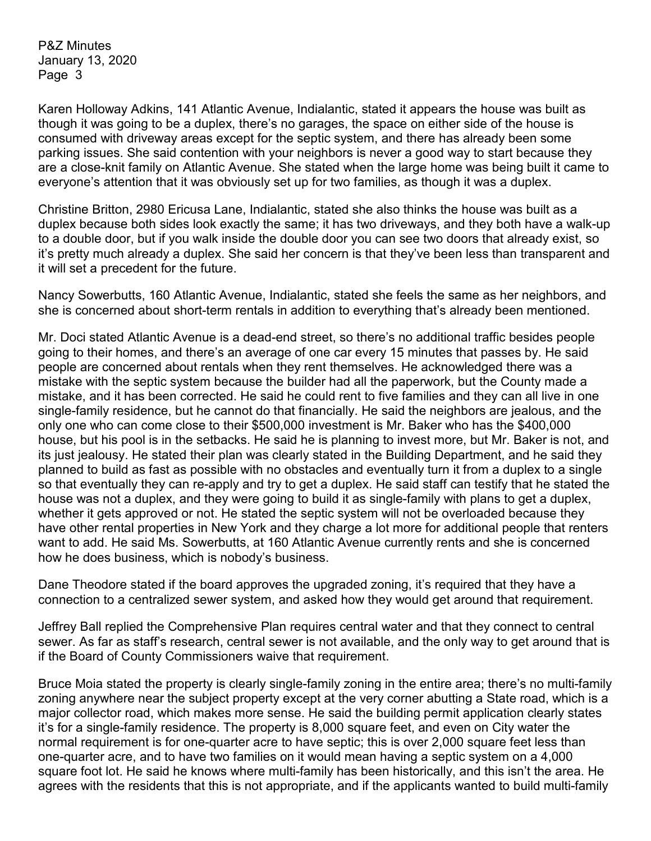Karen Holloway Adkins, 141 Atlantic Avenue, Indialantic, stated it appears the house was built as though it was going to be a duplex, there's no garages, the space on either side of the house is consumed with driveway areas except for the septic system, and there has already been some parking issues. She said contention with your neighbors is never a good way to start because they are a close-knit family on Atlantic Avenue. She stated when the large home was being built it came to everyone's attention that it was obviously set up for two families, as though it was a duplex.

Christine Britton, 2980 Ericusa Lane, Indialantic, stated she also thinks the house was built as a duplex because both sides look exactly the same; it has two driveways, and they both have a walk-up to a double door, but if you walk inside the double door you can see two doors that already exist, so it's pretty much already a duplex. She said her concern is that they've been less than transparent and it will set a precedent for the future.

Nancy Sowerbutts, 160 Atlantic Avenue, Indialantic, stated she feels the same as her neighbors, and she is concerned about short-term rentals in addition to everything that's already been mentioned.

Mr. Doci stated Atlantic Avenue is a dead-end street, so there's no additional traffic besides people going to their homes, and there's an average of one car every 15 minutes that passes by. He said people are concerned about rentals when they rent themselves. He acknowledged there was a mistake with the septic system because the builder had all the paperwork, but the County made a mistake, and it has been corrected. He said he could rent to five families and they can all live in one single-family residence, but he cannot do that financially. He said the neighbors are jealous, and the only one who can come close to their \$500,000 investment is Mr. Baker who has the \$400,000 house, but his pool is in the setbacks. He said he is planning to invest more, but Mr. Baker is not, and its just jealousy. He stated their plan was clearly stated in the Building Department, and he said they planned to build as fast as possible with no obstacles and eventually turn it from a duplex to a single so that eventually they can re-apply and try to get a duplex. He said staff can testify that he stated the house was not a duplex, and they were going to build it as single-family with plans to get a duplex, whether it gets approved or not. He stated the septic system will not be overloaded because they have other rental properties in New York and they charge a lot more for additional people that renters want to add. He said Ms. Sowerbutts, at 160 Atlantic Avenue currently rents and she is concerned how he does business, which is nobody's business.

Dane Theodore stated if the board approves the upgraded zoning, it's required that they have a connection to a centralized sewer system, and asked how they would get around that requirement.

Jeffrey Ball replied the Comprehensive Plan requires central water and that they connect to central sewer. As far as staff's research, central sewer is not available, and the only way to get around that is if the Board of County Commissioners waive that requirement.

Bruce Moia stated the property is clearly single-family zoning in the entire area; there's no multi-family zoning anywhere near the subject property except at the very corner abutting a State road, which is a major collector road, which makes more sense. He said the building permit application clearly states it's for a single-family residence. The property is 8,000 square feet, and even on City water the normal requirement is for one-quarter acre to have septic; this is over 2,000 square feet less than one-quarter acre, and to have two families on it would mean having a septic system on a 4,000 square foot lot. He said he knows where multi-family has been historically, and this isn't the area. He agrees with the residents that this is not appropriate, and if the applicants wanted to build multi-family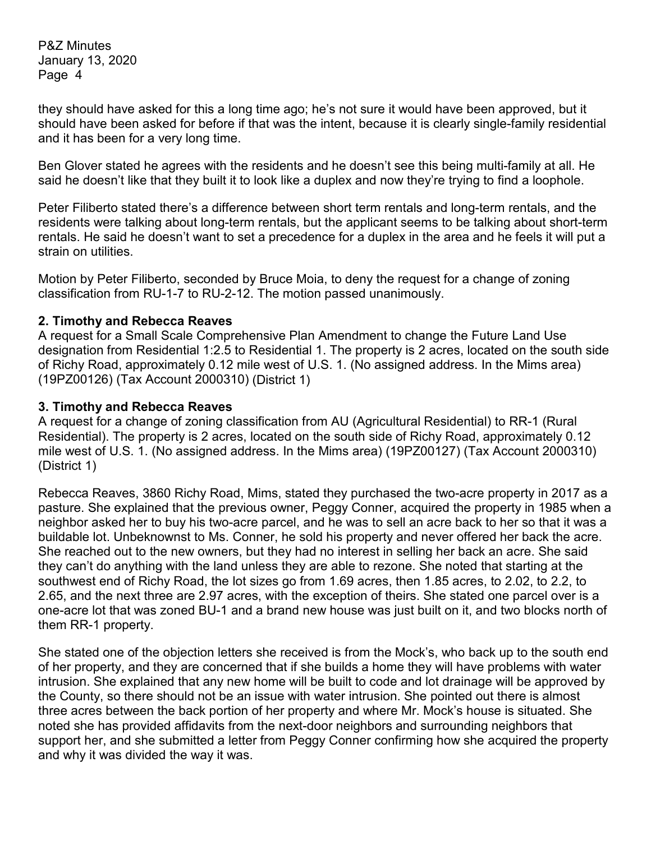they should have asked for this a long time ago; he's not sure it would have been approved, but it should have been asked for before if that was the intent, because it is clearly single-family residential and it has been for a very long time.

Ben Glover stated he agrees with the residents and he doesn't see this being multi-family at all. He said he doesn't like that they built it to look like a duplex and now they're trying to find a loophole.

Peter Filiberto stated there's a difference between short term rentals and long-term rentals, and the residents were talking about long-term rentals, but the applicant seems to be talking about short-term rentals. He said he doesn't want to set a precedence for a duplex in the area and he feels it will put a strain on utilities.

Motion by Peter Filiberto, seconded by Bruce Moia, to deny the request for a change of zoning classification from RU-1-7 to RU-2-12. The motion passed unanimously.

### **2. Timothy and Rebecca Reaves**

A request for a Small Scale Comprehensive Plan Amendment to change the Future Land Use designation from Residential 1:2.5 to Residential 1. The property is 2 acres, located on the south side of Richy Road, approximately 0.12 mile west of U.S. 1. (No assigned address. In the Mims area) (19PZ00126) (Tax Account 2000310) (District 1)

#### **3. Timothy and Rebecca Reaves**

A request for a change of zoning classification from AU (Agricultural Residential) to RR-1 (Rural Residential). The property is 2 acres, located on the south side of Richy Road, approximately 0.12 mile west of U.S. 1. (No assigned address. In the Mims area) (19PZ00127) (Tax Account 2000310) (District 1)

Rebecca Reaves, 3860 Richy Road, Mims, stated they purchased the two-acre property in 2017 as a pasture. She explained that the previous owner, Peggy Conner, acquired the property in 1985 when a neighbor asked her to buy his two-acre parcel, and he was to sell an acre back to her so that it was a buildable lot. Unbeknownst to Ms. Conner, he sold his property and never offered her back the acre. She reached out to the new owners, but they had no interest in selling her back an acre. She said they can't do anything with the land unless they are able to rezone. She noted that starting at the southwest end of Richy Road, the lot sizes go from 1.69 acres, then 1.85 acres, to 2.02, to 2.2, to 2.65, and the next three are 2.97 acres, with the exception of theirs. She stated one parcel over is a one-acre lot that was zoned BU-1 and a brand new house was just built on it, and two blocks north of them RR-1 property.

She stated one of the objection letters she received is from the Mock's, who back up to the south end of her property, and they are concerned that if she builds a home they will have problems with water intrusion. She explained that any new home will be built to code and lot drainage will be approved by the County, so there should not be an issue with water intrusion. She pointed out there is almost three acres between the back portion of her property and where Mr. Mock's house is situated. She noted she has provided affidavits from the next-door neighbors and surrounding neighbors that support her, and she submitted a letter from Peggy Conner confirming how she acquired the property and why it was divided the way it was.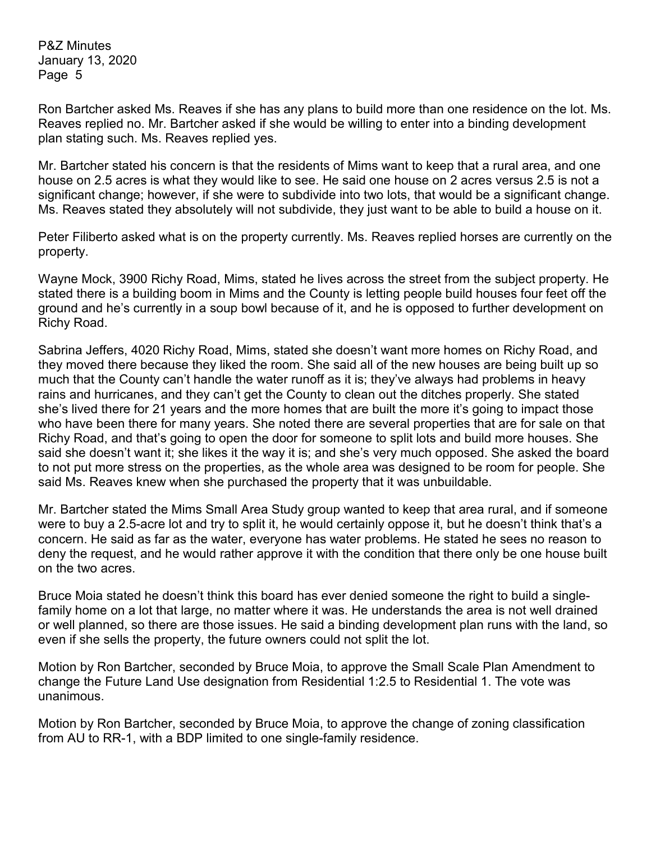Ron Bartcher asked Ms. Reaves if she has any plans to build more than one residence on the lot. Ms. Reaves replied no. Mr. Bartcher asked if she would be willing to enter into a binding development plan stating such. Ms. Reaves replied yes.

Mr. Bartcher stated his concern is that the residents of Mims want to keep that a rural area, and one house on 2.5 acres is what they would like to see. He said one house on 2 acres versus 2.5 is not a significant change; however, if she were to subdivide into two lots, that would be a significant change. Ms. Reaves stated they absolutely will not subdivide, they just want to be able to build a house on it.

Peter Filiberto asked what is on the property currently. Ms. Reaves replied horses are currently on the property.

Wayne Mock, 3900 Richy Road, Mims, stated he lives across the street from the subject property. He stated there is a building boom in Mims and the County is letting people build houses four feet off the ground and he's currently in a soup bowl because of it, and he is opposed to further development on Richy Road.

Sabrina Jeffers, 4020 Richy Road, Mims, stated she doesn't want more homes on Richy Road, and they moved there because they liked the room. She said all of the new houses are being built up so much that the County can't handle the water runoff as it is; they've always had problems in heavy rains and hurricanes, and they can't get the County to clean out the ditches properly. She stated she's lived there for 21 years and the more homes that are built the more it's going to impact those who have been there for many years. She noted there are several properties that are for sale on that Richy Road, and that's going to open the door for someone to split lots and build more houses. She said she doesn't want it; she likes it the way it is; and she's very much opposed. She asked the board to not put more stress on the properties, as the whole area was designed to be room for people. She said Ms. Reaves knew when she purchased the property that it was unbuildable.

Mr. Bartcher stated the Mims Small Area Study group wanted to keep that area rural, and if someone were to buy a 2.5-acre lot and try to split it, he would certainly oppose it, but he doesn't think that's a concern. He said as far as the water, everyone has water problems. He stated he sees no reason to deny the request, and he would rather approve it with the condition that there only be one house built on the two acres.

Bruce Moia stated he doesn't think this board has ever denied someone the right to build a singlefamily home on a lot that large, no matter where it was. He understands the area is not well drained or well planned, so there are those issues. He said a binding development plan runs with the land, so even if she sells the property, the future owners could not split the lot.

Motion by Ron Bartcher, seconded by Bruce Moia, to approve the Small Scale Plan Amendment to change the Future Land Use designation from Residential 1:2.5 to Residential 1. The vote was unanimous.

Motion by Ron Bartcher, seconded by Bruce Moia, to approve the change of zoning classification from AU to RR-1, with a BDP limited to one single-family residence.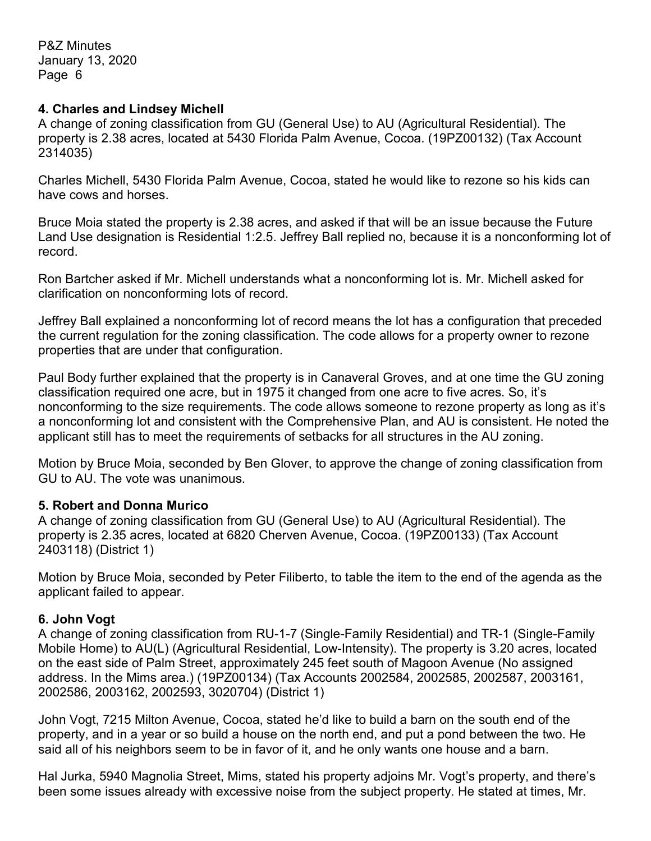#### **4. Charles and Lindsey Michell**

A change of zoning classification from GU (General Use) to AU (Agricultural Residential). The property is 2.38 acres, located at 5430 Florida Palm Avenue, Cocoa. (19PZ00132) (Tax Account 2314035)

Charles Michell, 5430 Florida Palm Avenue, Cocoa, stated he would like to rezone so his kids can have cows and horses.

Bruce Moia stated the property is 2.38 acres, and asked if that will be an issue because the Future Land Use designation is Residential 1:2.5. Jeffrey Ball replied no, because it is a nonconforming lot of record.

Ron Bartcher asked if Mr. Michell understands what a nonconforming lot is. Mr. Michell asked for clarification on nonconforming lots of record.

Jeffrey Ball explained a nonconforming lot of record means the lot has a configuration that preceded the current regulation for the zoning classification. The code allows for a property owner to rezone properties that are under that configuration.

Paul Body further explained that the property is in Canaveral Groves, and at one time the GU zoning classification required one acre, but in 1975 it changed from one acre to five acres. So, it's nonconforming to the size requirements. The code allows someone to rezone property as long as it's a nonconforming lot and consistent with the Comprehensive Plan, and AU is consistent. He noted the applicant still has to meet the requirements of setbacks for all structures in the AU zoning.

Motion by Bruce Moia, seconded by Ben Glover, to approve the change of zoning classification from GU to AU. The vote was unanimous.

# **5. Robert and Donna Murico**

A change of zoning classification from GU (General Use) to AU (Agricultural Residential). The property is 2.35 acres, located at 6820 Cherven Avenue, Cocoa. (19PZ00133) (Tax Account 2403118) (District 1)

Motion by Bruce Moia, seconded by Peter Filiberto, to table the item to the end of the agenda as the applicant failed to appear.

# **6. John Vogt**

A change of zoning classification from RU-1-7 (Single-Family Residential) and TR-1 (Single-Family Mobile Home) to AU(L) (Agricultural Residential, Low-Intensity). The property is 3.20 acres, located on the east side of Palm Street, approximately 245 feet south of Magoon Avenue (No assigned address. In the Mims area.) (19PZ00134) (Tax Accounts 2002584, 2002585, 2002587, 2003161, 2002586, 2003162, 2002593, 3020704) (District 1)

John Vogt, 7215 Milton Avenue, Cocoa, stated he'd like to build a barn on the south end of the property, and in a year or so build a house on the north end, and put a pond between the two. He said all of his neighbors seem to be in favor of it, and he only wants one house and a barn.

Hal Jurka, 5940 Magnolia Street, Mims, stated his property adjoins Mr. Vogt's property, and there's been some issues already with excessive noise from the subject property. He stated at times, Mr.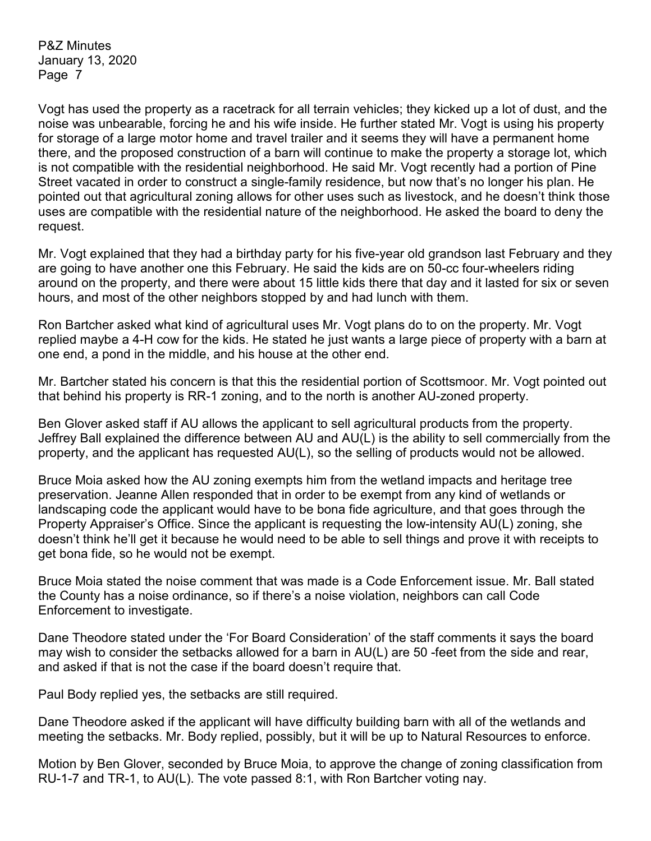Vogt has used the property as a racetrack for all terrain vehicles; they kicked up a lot of dust, and the noise was unbearable, forcing he and his wife inside. He further stated Mr. Vogt is using his property for storage of a large motor home and travel trailer and it seems they will have a permanent home there, and the proposed construction of a barn will continue to make the property a storage lot, which is not compatible with the residential neighborhood. He said Mr. Vogt recently had a portion of Pine Street vacated in order to construct a single-family residence, but now that's no longer his plan. He pointed out that agricultural zoning allows for other uses such as livestock, and he doesn't think those uses are compatible with the residential nature of the neighborhood. He asked the board to deny the request.

Mr. Vogt explained that they had a birthday party for his five-year old grandson last February and they are going to have another one this February. He said the kids are on 50-cc four-wheelers riding around on the property, and there were about 15 little kids there that day and it lasted for six or seven hours, and most of the other neighbors stopped by and had lunch with them.

Ron Bartcher asked what kind of agricultural uses Mr. Vogt plans do to on the property. Mr. Vogt replied maybe a 4-H cow for the kids. He stated he just wants a large piece of property with a barn at one end, a pond in the middle, and his house at the other end.

Mr. Bartcher stated his concern is that this the residential portion of Scottsmoor. Mr. Vogt pointed out that behind his property is RR-1 zoning, and to the north is another AU-zoned property.

Ben Glover asked staff if AU allows the applicant to sell agricultural products from the property. Jeffrey Ball explained the difference between AU and AU(L) is the ability to sell commercially from the property, and the applicant has requested AU(L), so the selling of products would not be allowed.

Bruce Moia asked how the AU zoning exempts him from the wetland impacts and heritage tree preservation. Jeanne Allen responded that in order to be exempt from any kind of wetlands or landscaping code the applicant would have to be bona fide agriculture, and that goes through the Property Appraiser's Office. Since the applicant is requesting the low-intensity AU(L) zoning, she doesn't think he'll get it because he would need to be able to sell things and prove it with receipts to get bona fide, so he would not be exempt.

Bruce Moia stated the noise comment that was made is a Code Enforcement issue. Mr. Ball stated the County has a noise ordinance, so if there's a noise violation, neighbors can call Code Enforcement to investigate.

Dane Theodore stated under the 'For Board Consideration' of the staff comments it says the board may wish to consider the setbacks allowed for a barn in AU(L) are 50 -feet from the side and rear, and asked if that is not the case if the board doesn't require that.

Paul Body replied yes, the setbacks are still required.

Dane Theodore asked if the applicant will have difficulty building barn with all of the wetlands and meeting the setbacks. Mr. Body replied, possibly, but it will be up to Natural Resources to enforce.

Motion by Ben Glover, seconded by Bruce Moia, to approve the change of zoning classification from RU-1-7 and TR-1, to AU(L). The vote passed 8:1, with Ron Bartcher voting nay.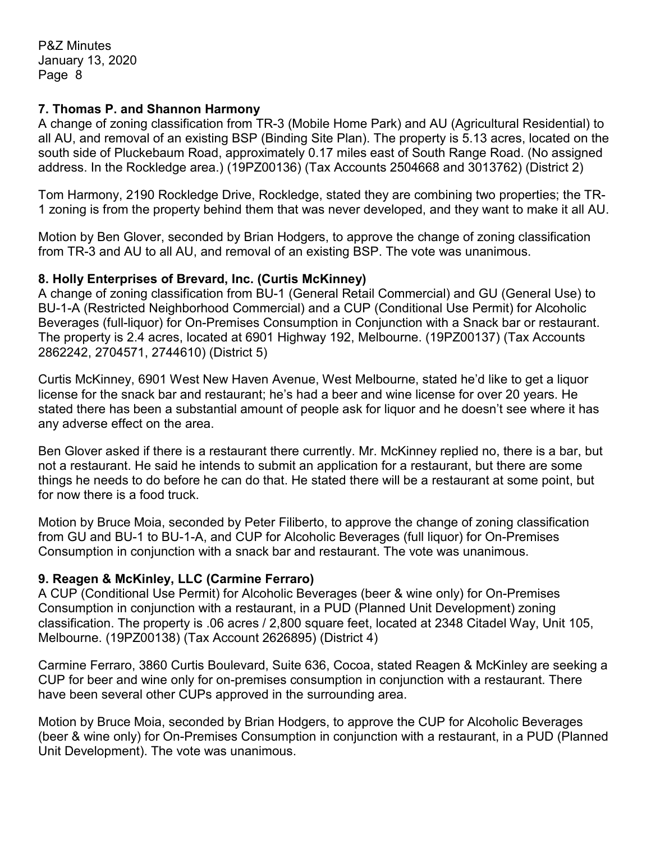#### **7. Thomas P. and Shannon Harmony**

A change of zoning classification from TR-3 (Mobile Home Park) and AU (Agricultural Residential) to all AU, and removal of an existing BSP (Binding Site Plan). The property is 5.13 acres, located on the south side of Pluckebaum Road, approximately 0.17 miles east of South Range Road. (No assigned address. In the Rockledge area.) (19PZ00136) (Tax Accounts 2504668 and 3013762) (District 2)

Tom Harmony, 2190 Rockledge Drive, Rockledge, stated they are combining two properties; the TR-1 zoning is from the property behind them that was never developed, and they want to make it all AU.

Motion by Ben Glover, seconded by Brian Hodgers, to approve the change of zoning classification from TR-3 and AU to all AU, and removal of an existing BSP. The vote was unanimous.

### **8. Holly Enterprises of Brevard, Inc. (Curtis McKinney)**

A change of zoning classification from BU-1 (General Retail Commercial) and GU (General Use) to BU-1-A (Restricted Neighborhood Commercial) and a CUP (Conditional Use Permit) for Alcoholic Beverages (full-liquor) for On-Premises Consumption in Conjunction with a Snack bar or restaurant. The property is 2.4 acres, located at 6901 Highway 192, Melbourne. (19PZ00137) (Tax Accounts 2862242, 2704571, 2744610) (District 5)

Curtis McKinney, 6901 West New Haven Avenue, West Melbourne, stated he'd like to get a liquor license for the snack bar and restaurant; he's had a beer and wine license for over 20 years. He stated there has been a substantial amount of people ask for liquor and he doesn't see where it has any adverse effect on the area.

Ben Glover asked if there is a restaurant there currently. Mr. McKinney replied no, there is a bar, but not a restaurant. He said he intends to submit an application for a restaurant, but there are some things he needs to do before he can do that. He stated there will be a restaurant at some point, but for now there is a food truck.

Motion by Bruce Moia, seconded by Peter Filiberto, to approve the change of zoning classification from GU and BU-1 to BU-1-A, and CUP for Alcoholic Beverages (full liquor) for On-Premises Consumption in conjunction with a snack bar and restaurant. The vote was unanimous.

# **9. Reagen & McKinley, LLC (Carmine Ferraro)**

A CUP (Conditional Use Permit) for Alcoholic Beverages (beer & wine only) for On-Premises Consumption in conjunction with a restaurant, in a PUD (Planned Unit Development) zoning classification. The property is .06 acres / 2,800 square feet, located at 2348 Citadel Way, Unit 105, Melbourne. (19PZ00138) (Tax Account 2626895) (District 4)

Carmine Ferraro, 3860 Curtis Boulevard, Suite 636, Cocoa, stated Reagen & McKinley are seeking a CUP for beer and wine only for on-premises consumption in conjunction with a restaurant. There have been several other CUPs approved in the surrounding area.

Motion by Bruce Moia, seconded by Brian Hodgers, to approve the CUP for Alcoholic Beverages (beer & wine only) for On-Premises Consumption in conjunction with a restaurant, in a PUD (Planned Unit Development). The vote was unanimous.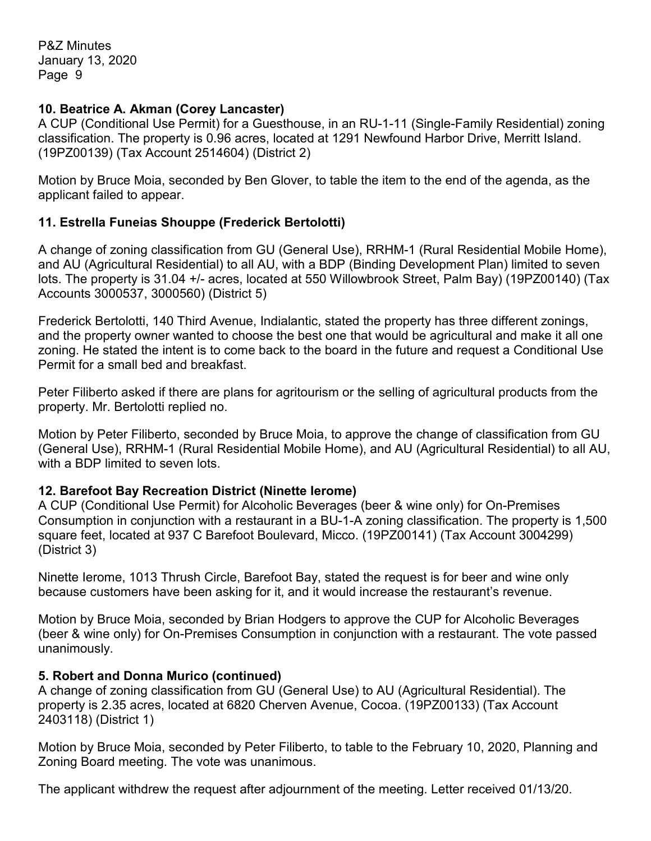### **10. Beatrice A. Akman (Corey Lancaster)**

A CUP (Conditional Use Permit) for a Guesthouse, in an RU-1-11 (Single-Family Residential) zoning classification. The property is 0.96 acres, located at 1291 Newfound Harbor Drive, Merritt Island. (19PZ00139) (Tax Account 2514604) (District 2)

Motion by Bruce Moia, seconded by Ben Glover, to table the item to the end of the agenda, as the applicant failed to appear.

# **11. Estrella Funeias Shouppe (Frederick Bertolotti)**

A change of zoning classification from GU (General Use), RRHM-1 (Rural Residential Mobile Home), and AU (Agricultural Residential) to all AU, with a BDP (Binding Development Plan) limited to seven lots. The property is 31.04 +/- acres, located at 550 Willowbrook Street, Palm Bay) (19PZ00140) (Tax Accounts 3000537, 3000560) (District 5)

Frederick Bertolotti, 140 Third Avenue, Indialantic, stated the property has three different zonings, and the property owner wanted to choose the best one that would be agricultural and make it all one zoning. He stated the intent is to come back to the board in the future and request a Conditional Use Permit for a small bed and breakfast.

Peter Filiberto asked if there are plans for agritourism or the selling of agricultural products from the property. Mr. Bertolotti replied no.

Motion by Peter Filiberto, seconded by Bruce Moia, to approve the change of classification from GU (General Use), RRHM-1 (Rural Residential Mobile Home), and AU (Agricultural Residential) to all AU, with a BDP limited to seven lots.

#### **12. Barefoot Bay Recreation District (Ninette Ierome)**

A CUP (Conditional Use Permit) for Alcoholic Beverages (beer & wine only) for On-Premises Consumption in conjunction with a restaurant in a BU-1-A zoning classification. The property is 1,500 square feet, located at 937 C Barefoot Boulevard, Micco. (19PZ00141) (Tax Account 3004299) (District 3)

Ninette Ierome, 1013 Thrush Circle, Barefoot Bay, stated the request is for beer and wine only because customers have been asking for it, and it would increase the restaurant's revenue.

Motion by Bruce Moia, seconded by Brian Hodgers to approve the CUP for Alcoholic Beverages (beer & wine only) for On-Premises Consumption in conjunction with a restaurant. The vote passed unanimously.

#### **5. Robert and Donna Murico (continued)**

A change of zoning classification from GU (General Use) to AU (Agricultural Residential). The property is 2.35 acres, located at 6820 Cherven Avenue, Cocoa. (19PZ00133) (Tax Account 2403118) (District 1)

Motion by Bruce Moia, seconded by Peter Filiberto, to table to the February 10, 2020, Planning and Zoning Board meeting. The vote was unanimous.

The applicant withdrew the request after adjournment of the meeting. Letter received 01/13/20.